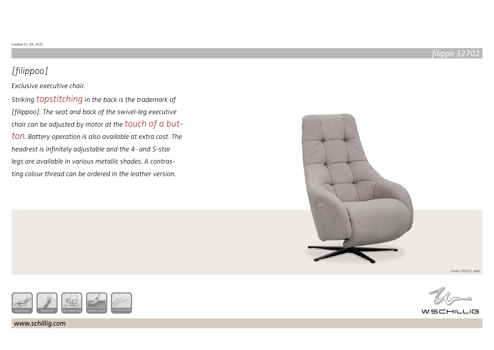# [filippoo]

Exclusive executive chair.

Striking topstitching in the back is the trademark of [filippoo]. The seat and back of the swivel-leg executive chair can be adjusted by motor at the touch of a button. Battery operation is also available at extra cost. The headrest is infinitely adjustable and the 4- and 5-star legs are available in various metallic shades. A contrasting colour thread can be ordered in the leather version.



Cover: Z78/21 steel



www.schillig.com



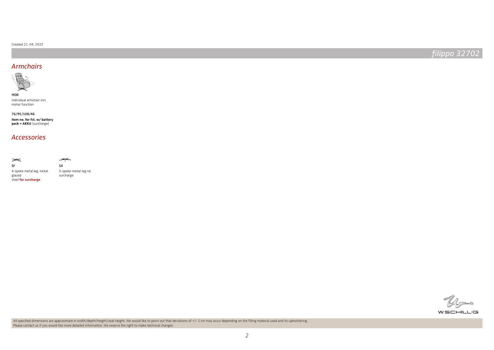#### Created 21. 04. 2022

filippo 32702

### Armchairs



individual armchair incl. motor function

**item no. for fct. w/ battery pack = AKKU** (surcharge) 76/95/108/46

### Accessories

**SX** 

حهجه

5-spoke-metal-leg no surcharge

 $\mathcal{U}_{\textrm{min}}$ w.schillig



All specified dimensions are approximate in width/depth/height/seat height. We would like to point out that deviations of +/- 2 cm may occur depending on the filling material used and its upholstering. Please contact us if you would like more detailed information. We reserve the right to make technical changes.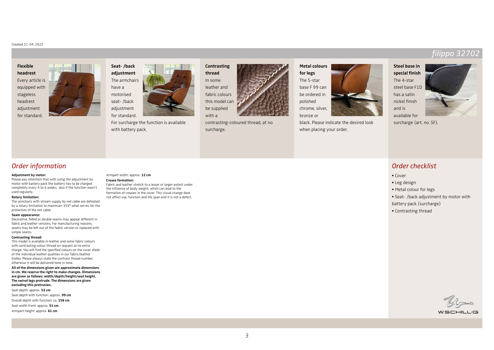#### Created 21. 04. 2022

## **Flexible headrest**

Every article is equipped with stageless headrest adjustment for standard.





For surcharge the function is available with battery pack.

**Contrasting thread** In some leather and fabric colours this model can be supplied with a



contrasting-coloured thread, at no surcharge.

**Metal colours for legs** The 5-star base F 99 can be ordered in polished chrome, silver, bronze or

black. Please indicate the desired look when placing your order.





filippo 3270

Order checklist

surcharge (art. no. SF).

- Cover
- Leg design
- Metal colour for legs
- Seat- /back adjustment by motor with
- battery pack (surcharge)
- Contrasting thread

- 
- 
- 
- 
- 
- 

### WSCHILLIG

### Order information

#### **Adjustment by motor:**

Please pay attention that with using the adjustment by motor with battery pack the battery has to be charged completely every 4 to 6 weeks, also if the function wasn't used regularly..

#### **Rotary limitation:**

The armchairs with stream supply by net cable are defeated by a rotary limitation to maximum 355° what serves for the protection of the net cable.

#### **Seam appearance:**

Decorative, felled or double seams may appear different in fabric and leather versions. For manufacturing reasons, seams may be left out of the fabric version or replaced with simple seams.

#### **Contrasting thread:**

This model is available in leather and some fabric colours with contrasting colour thread on request at no extra charge. You will find the specified colours on the cover sheet of the individual leather qualities in our fabric/leather trolley. Please always state the contrast thread number, otherwise it will be delivered tone in tone.

**All of the dimensions given are approximate dimensions in cm. We reserve the right to make changes. Dimensions are given as follows: width/depth/height/seat height. The swivel legs protrude. The dimensions are given excluding this protrusion.**

Seat depth: approx. **53 cm** Seat depth with function: approx. **99 cm** Overall depth with function: ca. **158 cm** Seat width front: approx. **51 cm** Armpart height: approx. **61 cm**

#### Armpart width: approx. **12 cm**

**Crease formation:** Fabric and leather stretch to a lesser or larger extent under the influence of body weight, which can lead to the formation of creases in the cover. This visual change does not affect use, function and life span and it is not a defect.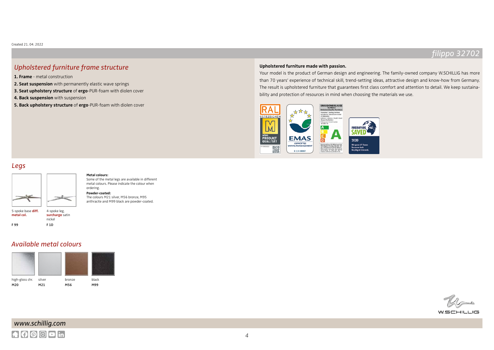### Upholstered furniture frame structure

**1. Frame** - metal construction

- **2. Seat suspension** with permanently elastic wave springs
- **3. Seat upholstery structure** of **ergo**-PUR-foam with diolen cover
- **4. Back suspension** with suspension
- **5. Back upholstery structure** of **ergo**-PUR-foam with diolen cover

### **Upholstered furniture made with passion.**

Your model is the product of German design and engineering. The family-owned company W.SCHILLIG has more than 70 years' experience of technical skill, trend-setting ideas, attractive design and know-how from Germany. The result is upholstered furniture that guarantees first class comfort and attention to detail. We keep sustainability and protection of resources in mind when choosing the materials we use.





### 5-spoke base **diff. metal col.** F 99 4-spoke leg, **surcharge** satin nickel F 1D

#### **Metal colours:**

Some of the metal legs are available in different metal colours. Please indicate the colour when ordering.

#### **Powder-coated:**

The colours M21 silver, M56 bronze, M95 anthracite and M99 black are powder-coated.

### Available metal colours





 $W$ SCHILLIG

# www.schillig.com  $A$  $0$  $0$  $0$  $1$ in